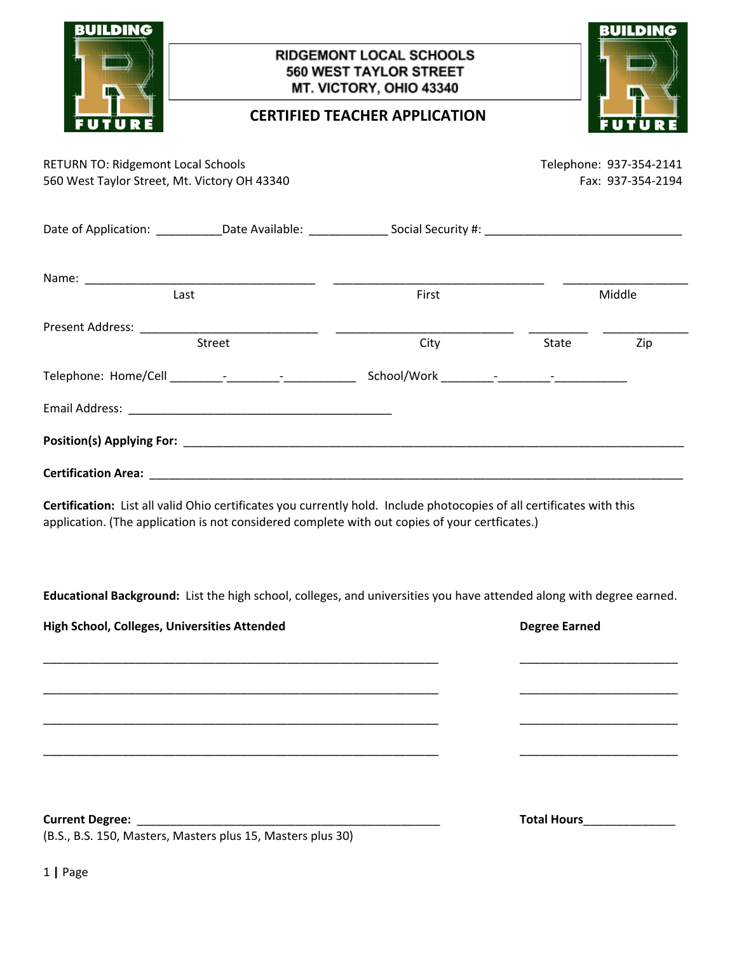| LDING                                                                                     | <b>RIDGEMONT LOCAL SCHOOLS</b><br>560 WEST TAYLOR STREET<br>MT. VICTORY, OHIO 43340 |                                                                                                                                                                                                                         | ILDIN                                                                                                                |                                              |
|-------------------------------------------------------------------------------------------|-------------------------------------------------------------------------------------|-------------------------------------------------------------------------------------------------------------------------------------------------------------------------------------------------------------------------|----------------------------------------------------------------------------------------------------------------------|----------------------------------------------|
|                                                                                           |                                                                                     | <b>CERTIFIED TEACHER APPLICATION</b>                                                                                                                                                                                    |                                                                                                                      |                                              |
| <b>RETURN TO: Ridgemont Local Schools</b><br>560 West Taylor Street, Mt. Victory OH 43340 |                                                                                     |                                                                                                                                                                                                                         |                                                                                                                      | Telephone: 937-354-2141<br>Fax: 937-354-2194 |
|                                                                                           |                                                                                     | Date of Application: _____________Date Available: _________________Social Security #: ________________________                                                                                                          |                                                                                                                      |                                              |
|                                                                                           |                                                                                     |                                                                                                                                                                                                                         |                                                                                                                      |                                              |
|                                                                                           | Last                                                                                | First                                                                                                                                                                                                                   |                                                                                                                      | Middle                                       |
|                                                                                           | Street                                                                              | City                                                                                                                                                                                                                    | State                                                                                                                | Zip                                          |
|                                                                                           |                                                                                     |                                                                                                                                                                                                                         |                                                                                                                      |                                              |
|                                                                                           |                                                                                     |                                                                                                                                                                                                                         |                                                                                                                      |                                              |
|                                                                                           |                                                                                     |                                                                                                                                                                                                                         |                                                                                                                      |                                              |
|                                                                                           |                                                                                     |                                                                                                                                                                                                                         |                                                                                                                      |                                              |
|                                                                                           |                                                                                     | Certification: List all valid Ohio certificates you currently hold. Include photocopies of all certificates with this<br>application. (The application is not considered complete with out copies of your certficates.) |                                                                                                                      |                                              |
|                                                                                           |                                                                                     | Educational Background: List the high school, colleges, and universities you have attended along with degree earned.                                                                                                    |                                                                                                                      |                                              |
| High School, Colleges, Universities Attended                                              |                                                                                     |                                                                                                                                                                                                                         | <b>Degree Earned</b>                                                                                                 |                                              |
|                                                                                           |                                                                                     |                                                                                                                                                                                                                         |                                                                                                                      |                                              |
|                                                                                           |                                                                                     |                                                                                                                                                                                                                         |                                                                                                                      |                                              |
|                                                                                           |                                                                                     |                                                                                                                                                                                                                         | <u> 1980 - Jan James James Jan James James Jan James James James James James James James James James James James</u> |                                              |
|                                                                                           |                                                                                     |                                                                                                                                                                                                                         | Total Hours______________                                                                                            |                                              |
|                                                                                           |                                                                                     |                                                                                                                                                                                                                         |                                                                                                                      |                                              |

1 **|** Page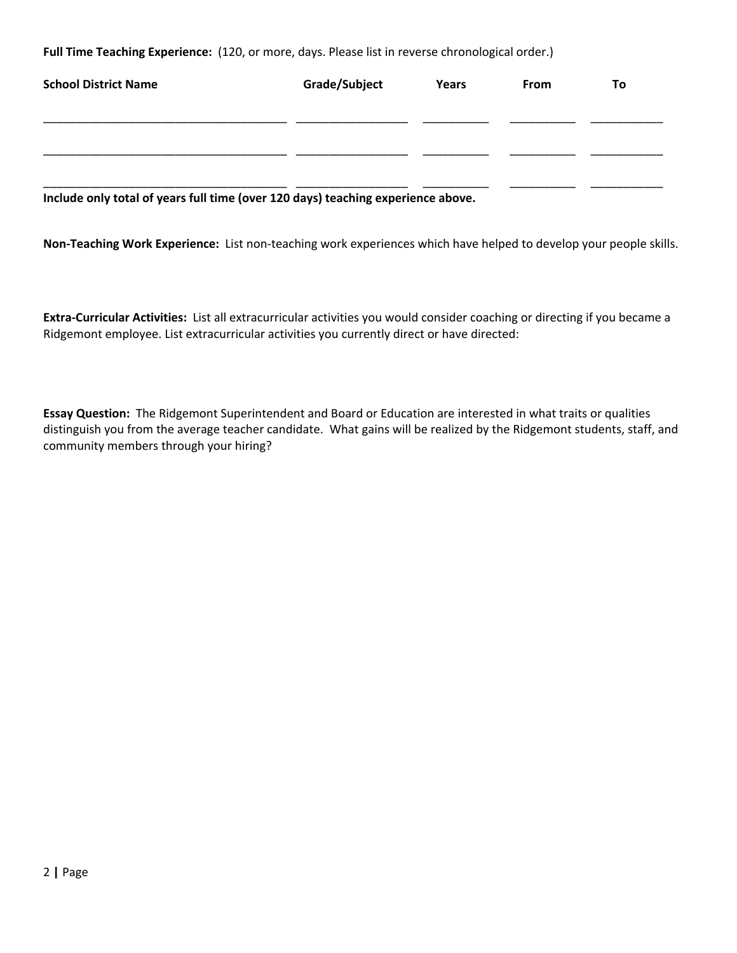**Full Time Teaching Experience:** (120, or more, days. Please list in reverse chronological order.)

| <b>School District Name</b>                                                      | Grade/Subject | Years | From | Τo |
|----------------------------------------------------------------------------------|---------------|-------|------|----|
|                                                                                  |               |       |      |    |
|                                                                                  |               |       |      |    |
| Include only total of years full time (over 120 days) teaching experience above. |               |       |      |    |

**Non-Teaching Work Experience:** List non-teaching work experiences which have helped to develop your people skills.

**Extra-Curricular Activities:** List all extracurricular activities you would consider coaching or directing if you became a Ridgemont employee. List extracurricular activities you currently direct or have directed:

**Essay Question:** The Ridgemont Superintendent and Board or Education are interested in what traits or qualities distinguish you from the average teacher candidate. What gains will be realized by the Ridgemont students, staff, and community members through your hiring?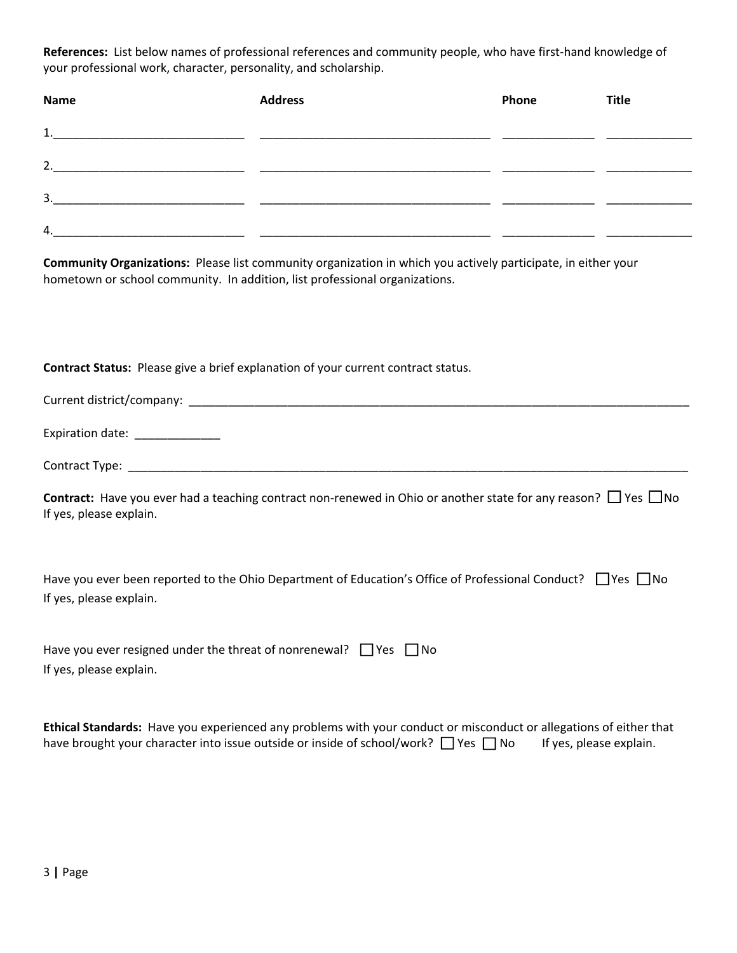**References:** List below names of professional references and community people, who have first-hand knowledge of your professional work, character, personality, and scholarship.

| Name | <b>Address</b> | Phone | <b>Title</b> |
|------|----------------|-------|--------------|
| 1.   |                |       |              |
| 2.   |                |       |              |
| 3.   |                |       |              |
| 4.   |                |       |              |

**Community Organizations:** Please list community organization in which you actively participate, in either your hometown or school community. In addition, list professional organizations.

 $\overline{a}$ **Contract Status:** Please give a brief explanation of your current contract status.

If yes, please explain.

| Have you ever resigned under the threat of nonrenewal? $\Box$ Yes $\Box$ No |  |
|-----------------------------------------------------------------------------|--|
| If yes, please explain.                                                     |  |

| Ethical Standards: Have you experienced any problems with your conduct or misconduct or allegations of either that |  |                         |  |
|--------------------------------------------------------------------------------------------------------------------|--|-------------------------|--|
| have brought your character into issue outside or inside of school/work? □ Yes □ No                                |  | If yes, please explain. |  |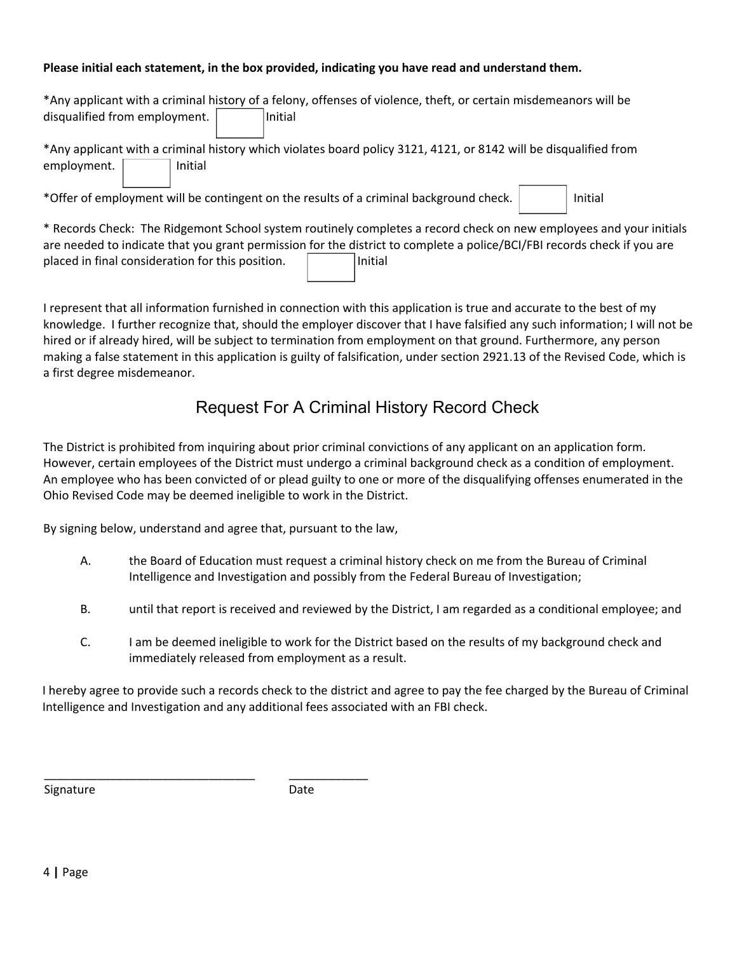## **Please initial each statement, in the box provided, indicating you have read and understand them.**

| *Any applicant with a criminal history of a felony, offenses of violence, theft, or certain misdemeanors will be |                                                                                                                         |  |  |
|------------------------------------------------------------------------------------------------------------------|-------------------------------------------------------------------------------------------------------------------------|--|--|
| disqualified from employment.<br>Initial                                                                         |                                                                                                                         |  |  |
| *Any applicant with a criminal history which violates board policy 3121, 4121, or 8142 will be disqualified from |                                                                                                                         |  |  |
| employment.<br>Initial                                                                                           |                                                                                                                         |  |  |
| *Offer of employment will be contingent on the results of a criminal background check.                           | Initial                                                                                                                 |  |  |
|                                                                                                                  | * Records Check: The Ridgemont School system routinely completes a record check on new employees and your initials      |  |  |
|                                                                                                                  | are needed to indicate that you grant permission for the district to complete a police/BCI/FBI records check if you are |  |  |
| placed in final consideration for this position.<br>Initial                                                      |                                                                                                                         |  |  |

a first degree misdemeanor. making a false statement in this application is guilty of falsification, under section 2921.13 of the Revised Code, which is hired or if already hired, will be subject to termination from employment on that ground. Furthermore, any person knowledge. I further recognize that, should the employer discover that I have falsified any such information; I will not be I represent that all information furnished in connection with this application is true and accurate to the best of my

## Request For A Criminal History Record Check

Ohio Revised Code may be deemed ineligible to work in the District. An employee who has been convicted of or plead guilty to one or more of the disqualifying offenses enumerated in the However, certain employees of the District must undergo a criminal background check as a condition of employment. The District is prohibited from inquiring about prior criminal convictions of any applicant on an application form.

By signing below, understand and agree that, pursuant to the law,

- Intelligence and Investigation and possibly from the Federal Bureau of Investigation; A. the Board of Education must request a criminal history check on me from the Bureau of Criminal
- B. until that report is received and reviewed by the District, I am regarded as a conditional employee; and
- immediately released from employment as a result. C. I am be deemed ineligible to work for the District based on the results of my background check and

Intelligence and Investigation and any additional fees associated with an FBI check. I hereby agree to provide such a records check to the district and agree to pay the fee charged by the Bureau of Criminal

Signature

\_\_\_\_\_\_\_\_\_\_\_\_\_\_\_\_\_\_\_\_\_\_\_\_\_\_\_\_\_\_\_\_

Date

\_\_\_\_\_\_\_\_\_\_\_\_